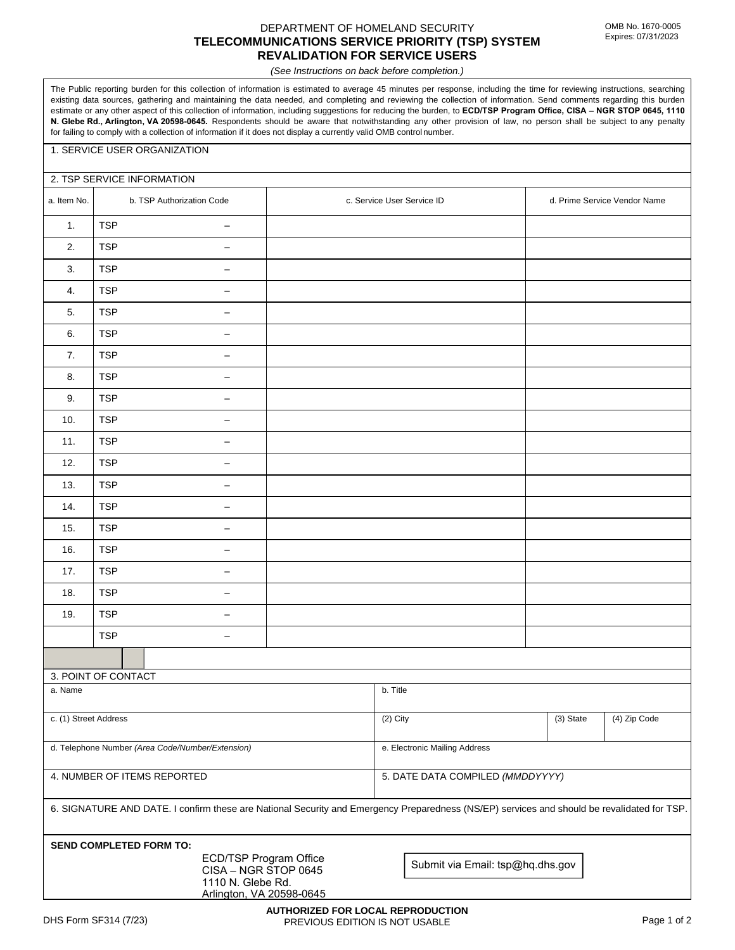#### DEPARTMENT OF HOMELAND SECURITY **TELECOMMUNICATIONS SERVICE PRIORITY (TSP) SYSTEM REVALIDATION FOR SERVICE USERS**

*(See Instructions on back before completion.)*

The Public reporting burden for this collection of information is estimated to average 45 minutes per response, including the time for reviewing instructions, searching existing data sources, gathering and maintaining the data needed, and completing and reviewing the collection of information. Send comments regarding this burden estimate or any other aspect of this collection of information, including suggestions for reducing the burden, to **ECD/TSP Program Office, CISA – NGR STOP 0645, 1110 N. Glebe Rd., Arlington, VA 20598-0645.** Respondents should be aware that notwithstanding any other provision of law, no person shall be subject to any penalty for failing to comply with a collection of information if it does not display a currently valid OMB control number.

### 1. SERVICE USER ORGANIZATION

## 2. TSP SERVICE INFORMATION

| a. Item No.                                                                                                                                 | b. TSP Authorization Code |                                   | c. Service User Service ID       |                                  | d. Prime Service Vendor Name |           |              |
|---------------------------------------------------------------------------------------------------------------------------------------------|---------------------------|-----------------------------------|----------------------------------|----------------------------------|------------------------------|-----------|--------------|
| 1.                                                                                                                                          | <b>TSP</b>                | $\overline{\phantom{m}}$          |                                  |                                  |                              |           |              |
| 2.                                                                                                                                          | <b>TSP</b>                | $\overline{\phantom{m}}$          |                                  |                                  |                              |           |              |
| 3.                                                                                                                                          | <b>TSP</b>                | $\overline{\phantom{m}}$          |                                  |                                  |                              |           |              |
| 4.                                                                                                                                          | <b>TSP</b>                | $\overline{\phantom{m}}$          |                                  |                                  |                              |           |              |
| 5.                                                                                                                                          | <b>TSP</b>                | $\overline{\phantom{m}}$          |                                  |                                  |                              |           |              |
| 6.                                                                                                                                          | <b>TSP</b>                | —                                 |                                  |                                  |                              |           |              |
| 7.                                                                                                                                          | <b>TSP</b>                | $\qquad \qquad -$                 |                                  |                                  |                              |           |              |
| 8.                                                                                                                                          | <b>TSP</b>                |                                   |                                  |                                  |                              |           |              |
| 9.                                                                                                                                          | <b>TSP</b>                | $\overbrace{\phantom{123221111}}$ |                                  |                                  |                              |           |              |
| 10.                                                                                                                                         | <b>TSP</b>                |                                   |                                  |                                  |                              |           |              |
| 11.                                                                                                                                         | <b>TSP</b>                | $\overline{\phantom{m}}$          |                                  |                                  |                              |           |              |
| 12.                                                                                                                                         | <b>TSP</b>                | -                                 |                                  |                                  |                              |           |              |
| 13.                                                                                                                                         | <b>TSP</b>                | $\overline{\phantom{m}}$          |                                  |                                  |                              |           |              |
| 14.                                                                                                                                         | <b>TSP</b>                | —                                 |                                  |                                  |                              |           |              |
| 15.                                                                                                                                         | <b>TSP</b>                | $\overline{\phantom{m}}$          |                                  |                                  |                              |           |              |
| 16.                                                                                                                                         | <b>TSP</b>                |                                   |                                  |                                  |                              |           |              |
| 17.                                                                                                                                         | <b>TSP</b>                | $\overline{\phantom{m}}$          |                                  |                                  |                              |           |              |
| 18.                                                                                                                                         | <b>TSP</b>                |                                   |                                  |                                  |                              |           |              |
| 19.                                                                                                                                         | <b>TSP</b>                | $\overline{\phantom{m}}$          |                                  |                                  |                              |           |              |
|                                                                                                                                             | <b>TSP</b>                |                                   |                                  |                                  |                              |           |              |
|                                                                                                                                             |                           |                                   |                                  |                                  |                              |           |              |
| 3. POINT OF CONTACT                                                                                                                         |                           |                                   |                                  |                                  |                              |           |              |
| a. Name                                                                                                                                     |                           |                                   |                                  | $\overline{b}$ . Title           |                              |           |              |
| c. (1) Street Address                                                                                                                       |                           |                                   |                                  | (2) City                         |                              | (3) State | (4) Zip Code |
| d. Telephone Number (Area Code/Number/Extension)                                                                                            |                           |                                   |                                  | e. Electronic Mailing Address    |                              |           |              |
| 4. NUMBER OF ITEMS REPORTED                                                                                                                 |                           |                                   |                                  | 5. DATE DATA COMPILED (MMDDYYYY) |                              |           |              |
| 6. SIGNATURE AND DATE. I confirm these are National Security and Emergency Preparedness (NS/EP) services and should be revalidated for TSP. |                           |                                   |                                  |                                  |                              |           |              |
| <b>SEND COMPLETED FORM TO:</b>                                                                                                              |                           |                                   |                                  |                                  |                              |           |              |
| ECD/TSP Program Office<br>CISA - NGR STOP 0645<br>1110 N. Glebe Rd.<br>Arlington, VA 20598-0645                                             |                           |                                   | Submit via Email: tsp@hq.dhs.gov |                                  |                              |           |              |
|                                                                                                                                             |                           |                                   |                                  |                                  |                              |           |              |